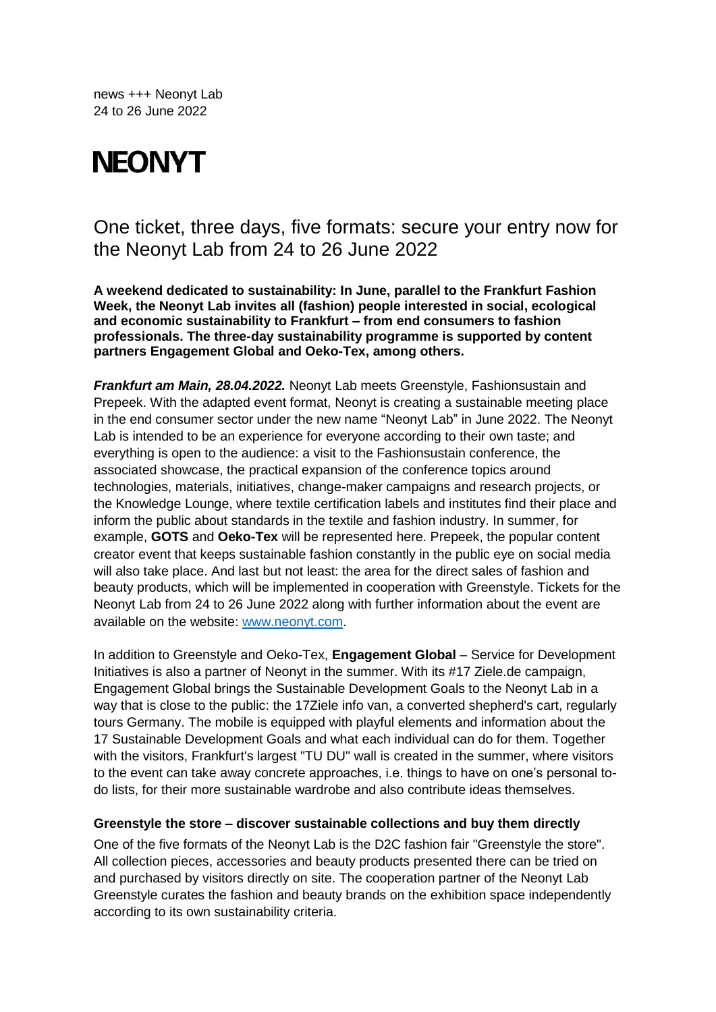news +++ Neonyt Lab 24 to 26 June 2022

# **NEONYT**

## One ticket, three days, five formats: secure your entry now for the Neonyt Lab from 24 to 26 June 2022

**A weekend dedicated to sustainability: In June, parallel to the Frankfurt Fashion Week, the Neonyt Lab invites all (fashion) people interested in social, ecological and economic sustainability to Frankfurt – from end consumers to fashion professionals. The three-day sustainability programme is supported by content partners Engagement Global and Oeko-Tex, among others.**

*Frankfurt am Main, 28.04.2022.* Neonyt Lab meets Greenstyle, Fashionsustain and Prepeek. With the adapted event format, Neonyt is creating a sustainable meeting place in the end consumer sector under the new name "Neonyt Lab" in June 2022. The Neonyt Lab is intended to be an experience for everyone according to their own taste; and everything is open to the audience: a visit to the Fashionsustain conference, the associated showcase, the practical expansion of the conference topics around technologies, materials, initiatives, change-maker campaigns and research projects, or the Knowledge Lounge, where textile certification labels and institutes find their place and inform the public about standards in the textile and fashion industry. In summer, for example, **GOTS** and **Oeko-Tex** will be represented here. Prepeek, the popular content creator event that keeps sustainable fashion constantly in the public eye on social media will also take place. And last but not least: the area for the direct sales of fashion and beauty products, which will be implemented in cooperation with Greenstyle. Tickets for the Neonyt Lab from 24 to 26 June 2022 along with further information about the event are available on the website: [www.neonyt.com.](http://www.neonyt.com/)

In addition to Greenstyle and Oeko-Tex, **Engagement Global** – Service for Development Initiatives is also a partner of Neonyt in the summer. With its #17 Ziele.de campaign, Engagement Global brings the Sustainable Development Goals to the Neonyt Lab in a way that is close to the public: the 17Ziele info van, a converted shepherd's cart, regularly tours Germany. The mobile is equipped with playful elements and information about the 17 Sustainable Development Goals and what each individual can do for them. Together with the visitors, Frankfurt's largest "TU DU" wall is created in the summer, where visitors to the event can take away concrete approaches, i.e. things to have on one's personal todo lists, for their more sustainable wardrobe and also contribute ideas themselves.

#### **Greenstyle the store – discover sustainable collections and buy them directly**

One of the five formats of the Neonyt Lab is the D2C fashion fair "Greenstyle the store". All collection pieces, accessories and beauty products presented there can be tried on and purchased by visitors directly on site. The cooperation partner of the Neonyt Lab Greenstyle curates the fashion and beauty brands on the exhibition space independently according to its own sustainability criteria.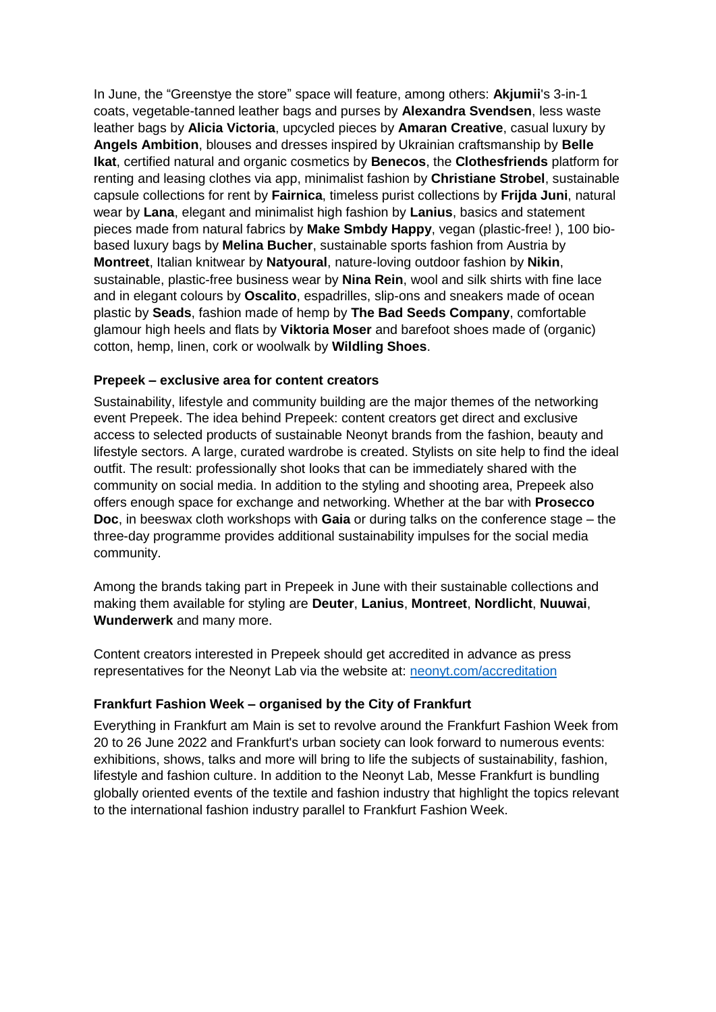In June, the "Greenstye the store" space will feature, among others: **Akjumii**'s 3-in-1 coats, vegetable-tanned leather bags and purses by **Alexandra Svendsen**, less waste leather bags by **Alicia Victoria**, upcycled pieces by **Amaran Creative**, casual luxury by **Angels Ambition**, blouses and dresses inspired by Ukrainian craftsmanship by **Belle Ikat**, certified natural and organic cosmetics by **Benecos**, the **Clothesfriends** platform for renting and leasing clothes via app, minimalist fashion by **Christiane Strobel**, sustainable capsule collections for rent by **Fairnica**, timeless purist collections by **Frijda Juni**, natural wear by **Lana**, elegant and minimalist high fashion by **Lanius**, basics and statement pieces made from natural fabrics by **Make Smbdy Happy**, vegan (plastic-free! ), 100 biobased luxury bags by **Melina Bucher**, sustainable sports fashion from Austria by **Montreet**, Italian knitwear by **Natyoural**, nature-loving outdoor fashion by **Nikin**, sustainable, plastic-free business wear by **Nina Rein**, wool and silk shirts with fine lace and in elegant colours by **Oscalito**, espadrilles, slip-ons and sneakers made of ocean plastic by **Seads**, fashion made of hemp by **The Bad Seeds Company**, comfortable glamour high heels and flats by **Viktoria Moser** and barefoot shoes made of (organic) cotton, hemp, linen, cork or woolwalk by **Wildling Shoes**.

#### **Prepeek – exclusive area for content creators**

Sustainability, lifestyle and community building are the major themes of the networking event Prepeek. The idea behind Prepeek: content creators get direct and exclusive access to selected products of sustainable Neonyt brands from the fashion, beauty and lifestyle sectors. A large, curated wardrobe is created. Stylists on site help to find the ideal outfit. The result: professionally shot looks that can be immediately shared with the community on social media. In addition to the styling and shooting area, Prepeek also offers enough space for exchange and networking. Whether at the bar with **Prosecco Doc**, in beeswax cloth workshops with **Gaia** or during talks on the conference stage – the three-day programme provides additional sustainability impulses for the social media community.

Among the brands taking part in Prepeek in June with their sustainable collections and making them available for styling are **Deuter**, **Lanius**, **Montreet**, **Nordlicht**, **Nuuwai**, **Wunderwerk** and many more.

Content creators interested in Prepeek should get accredited in advance as press representatives for the Neonyt Lab via the website at: [neonyt.com/accreditation](https://presseakkreditierung.messefrankfurt.com/pac/en/login.html)

### **Frankfurt Fashion Week – organised by the City of Frankfurt**

Everything in Frankfurt am Main is set to revolve around the Frankfurt Fashion Week from 20 to 26 June 2022 and Frankfurt's urban society can look forward to numerous events: exhibitions, shows, talks and more will bring to life the subjects of sustainability, fashion, lifestyle and fashion culture. In addition to the Neonyt Lab, Messe Frankfurt is bundling globally oriented events of the textile and fashion industry that highlight the topics relevant to the international fashion industry parallel to Frankfurt Fashion Week.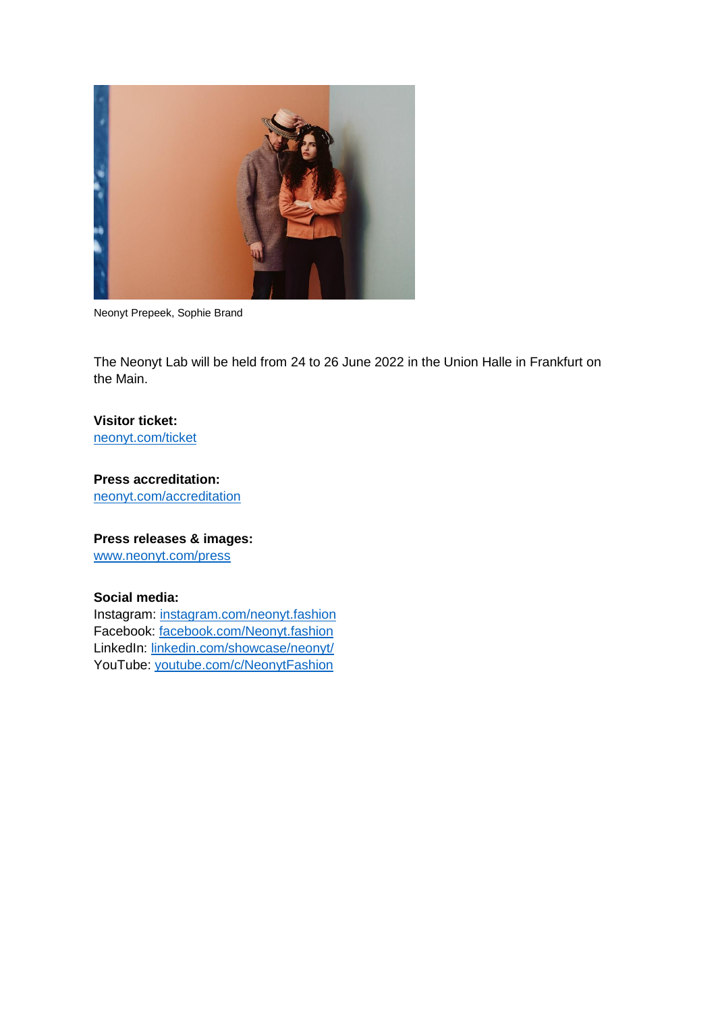

Neonyt Prepeek, Sophie Brand

The Neonyt Lab will be held from 24 to 26 June 2022 in the Union Halle in Frankfurt on the Main.

#### **Visitor ticket:**

[neonyt.com/ticket](https://visitortickets.messefrankfurt.com/ticket/de/ticket_select.html?reset_remove_personalized_tickets=true&_appshop=mf_tap20160620_1992)

## **Press accreditation:**

[neonyt.com/accreditation](https://presseakkreditierung.messefrankfurt.com/pac/en/login.html)

## **Press releases & images:**

[www.neonyt.com/press](http://www.neonyt.com/presse)

#### **Social media:**

Instagram: [instagram.com/neonyt.fashion](https://www.instagram.com/neonyt.fashion/?hl=de) Facebook: [facebook.com/Neonyt.fashion](https://www.facebook.com/Neonyt.fashion) LinkedIn: [linkedin.com/showcase/neonyt/](https://www.linkedin.com/showcase/neonyt/) YouTube: [youtube.com/c/NeonytFashion](https://www.youtube.com/channel/UCE_ZndkajfpgcZCAWaoBBvQ)